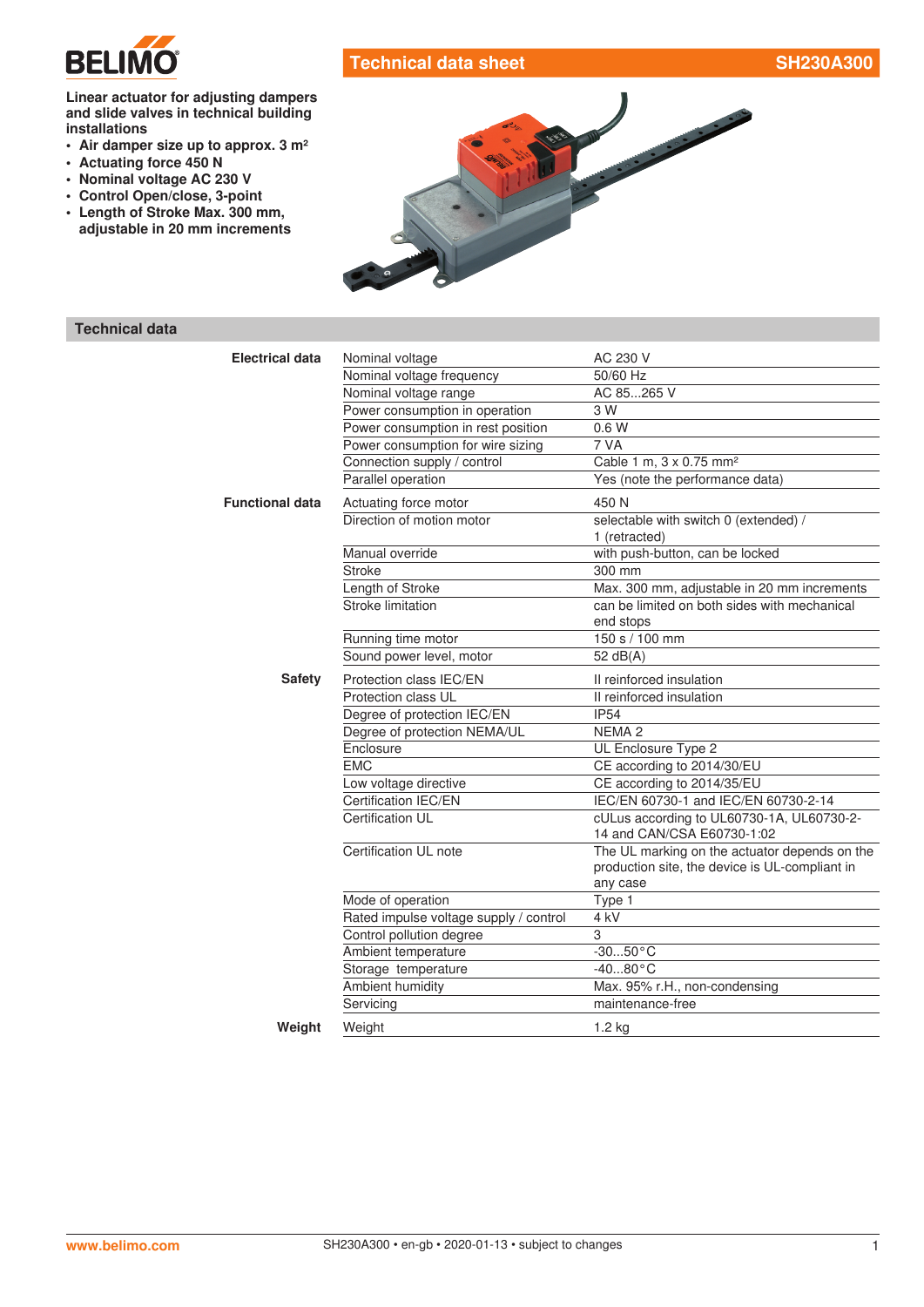

# **Technical data sheet SH230A300**

#### **Linear actuator for adjusting dampers and slide valves in technical building installations**

- **• Air damper size up to approx. 3 m²**
- **• Actuating force 450 N**
- **• Nominal voltage AC 230 V**
- **• Control Open/close, 3-point**
- **• Length of Stroke Max. 300 mm, adjustable in 20 mm increments**



## **Technical data**

| <b>Electrical data</b> | Nominal voltage                        | AC 230 V                                                                                                    |  |
|------------------------|----------------------------------------|-------------------------------------------------------------------------------------------------------------|--|
|                        | Nominal voltage frequency              | 50/60 Hz                                                                                                    |  |
|                        | Nominal voltage range                  | AC 85265 V                                                                                                  |  |
|                        | Power consumption in operation         | 3 W                                                                                                         |  |
|                        | Power consumption in rest position     | 0.6W                                                                                                        |  |
|                        | Power consumption for wire sizing      | 7 VA                                                                                                        |  |
|                        | Connection supply / control            | Cable 1 m, 3 x 0.75 mm <sup>2</sup>                                                                         |  |
|                        | Parallel operation                     | Yes (note the performance data)                                                                             |  |
| <b>Functional data</b> | Actuating force motor                  | 450 N                                                                                                       |  |
|                        | Direction of motion motor              | selectable with switch 0 (extended) /<br>1 (retracted)                                                      |  |
|                        | Manual override                        | with push-button, can be locked                                                                             |  |
|                        | <b>Stroke</b>                          | 300 mm                                                                                                      |  |
|                        | Length of Stroke                       | Max. 300 mm, adjustable in 20 mm increments                                                                 |  |
|                        | Stroke limitation                      | can be limited on both sides with mechanical<br>end stops                                                   |  |
|                        | Running time motor                     | 150 s / 100 mm                                                                                              |  |
|                        | Sound power level, motor               | 52 dB(A)                                                                                                    |  |
| <b>Safety</b>          | Protection class IEC/EN                | Il reinforced insulation                                                                                    |  |
|                        | Protection class UL                    | II reinforced insulation                                                                                    |  |
|                        | Degree of protection IEC/EN            | <b>IP54</b>                                                                                                 |  |
|                        | Degree of protection NEMA/UL           | <b>NEMA2</b>                                                                                                |  |
|                        | Enclosure                              | UL Enclosure Type 2                                                                                         |  |
|                        | <b>EMC</b>                             | CE according to 2014/30/EU                                                                                  |  |
|                        | Low voltage directive                  | CE according to 2014/35/EU                                                                                  |  |
|                        | Certification IEC/EN                   | IEC/EN 60730-1 and IEC/EN 60730-2-14                                                                        |  |
|                        | <b>Certification UL</b>                | cULus according to UL60730-1A, UL60730-2-<br>14 and CAN/CSA E60730-1:02                                     |  |
|                        | Certification UL note                  | The UL marking on the actuator depends on the<br>production site, the device is UL-compliant in<br>any case |  |
|                        | Mode of operation                      | Type 1                                                                                                      |  |
|                        | Rated impulse voltage supply / control | 4 kV                                                                                                        |  |
|                        | Control pollution degree               | 3                                                                                                           |  |
|                        | Ambient temperature                    | $-3050 °C$                                                                                                  |  |
|                        | Storage temperature                    | $-4080 °C$                                                                                                  |  |
|                        | Ambient humidity                       | Max. 95% r.H., non-condensing                                                                               |  |
|                        | Servicing                              | maintenance-free                                                                                            |  |
| Weight                 | Weight                                 | 1.2 kg                                                                                                      |  |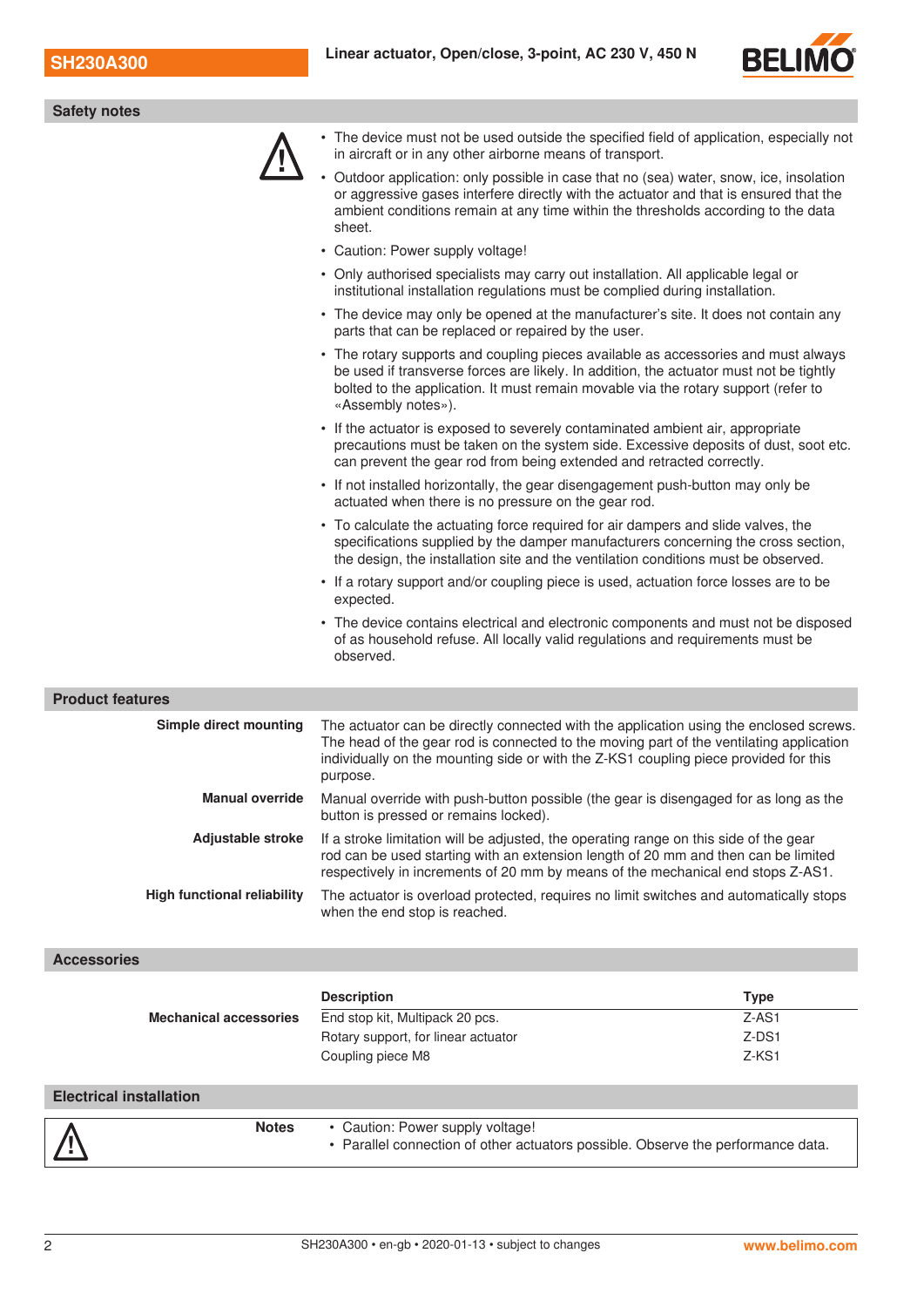

| <b>Safety notes</b>                |                                                                                                                                                                                                                                                                                          |  |
|------------------------------------|------------------------------------------------------------------------------------------------------------------------------------------------------------------------------------------------------------------------------------------------------------------------------------------|--|
|                                    | • The device must not be used outside the specified field of application, especially not<br>in aircraft or in any other airborne means of transport.                                                                                                                                     |  |
|                                    | Outdoor application: only possible in case that no (sea) water, snow, ice, insolation<br>or aggressive gases interfere directly with the actuator and that is ensured that the<br>ambient conditions remain at any time within the thresholds according to the data<br>sheet.            |  |
|                                    | • Caution: Power supply voltage!                                                                                                                                                                                                                                                         |  |
|                                    | • Only authorised specialists may carry out installation. All applicable legal or<br>institutional installation regulations must be complied during installation.                                                                                                                        |  |
|                                    | • The device may only be opened at the manufacturer's site. It does not contain any<br>parts that can be replaced or repaired by the user.                                                                                                                                               |  |
|                                    | • The rotary supports and coupling pieces available as accessories and must always<br>be used if transverse forces are likely. In addition, the actuator must not be tightly<br>bolted to the application. It must remain movable via the rotary support (refer to<br>«Assembly notes»). |  |
|                                    | • If the actuator is exposed to severely contaminated ambient air, appropriate<br>precautions must be taken on the system side. Excessive deposits of dust, soot etc.<br>can prevent the gear rod from being extended and retracted correctly.                                           |  |
|                                    | • If not installed horizontally, the gear disengagement push-button may only be<br>actuated when there is no pressure on the gear rod.                                                                                                                                                   |  |
|                                    | • To calculate the actuating force required for air dampers and slide valves, the<br>specifications supplied by the damper manufacturers concerning the cross section,<br>the design, the installation site and the ventilation conditions must be observed.                             |  |
|                                    | • If a rotary support and/or coupling piece is used, actuation force losses are to be<br>expected.                                                                                                                                                                                       |  |
|                                    | • The device contains electrical and electronic components and must not be disposed<br>of as household refuse. All locally valid regulations and requirements must be<br>observed.                                                                                                       |  |
| <b>Product features</b>            |                                                                                                                                                                                                                                                                                          |  |
| Simple direct mounting             | The actuator can be directly connected with the application using the enclosed screws.<br>The head of the gear rod is connected to the moving part of the ventilating application<br>individually on the mounting side or with the Z-KS1 coupling piece provided for this<br>purpose.    |  |
| <b>Manual override</b>             | Manual override with push-button possible (the gear is disengaged for as long as the<br>button is pressed or remains locked).                                                                                                                                                            |  |
| Adjustable stroke                  | If a stroke limitation will be adjusted, the operating range on this side of the gear<br>rod can be used starting with an extension length of 20 mm and then can be limited<br>respectively in increments of 20 mm by means of the mechanical end stops Z-AS1.                           |  |
| <b>High functional reliability</b> | The actuator is overload protected, requires no limit switches and automatically stops<br>when the end stop is reached.                                                                                                                                                                  |  |

## **Accessories**

|                                |                                                  | <b>Description</b>                                                               | <b>Type</b> |
|--------------------------------|--------------------------------------------------|----------------------------------------------------------------------------------|-------------|
| <b>Mechanical accessories</b>  |                                                  | End stop kit, Multipack 20 pcs.                                                  | $Z-AS1$     |
|                                |                                                  | Rotary support, for linear actuator                                              | Z-DS1       |
|                                |                                                  | Coupling piece M8                                                                | $Z-KS1$     |
|                                |                                                  |                                                                                  |             |
| <b>Electrical installation</b> |                                                  |                                                                                  |             |
|                                | <b>Notes</b><br>• Caution: Power supply voltage! |                                                                                  |             |
|                                |                                                  | • Parallel connection of other actuators possible. Observe the performance data. |             |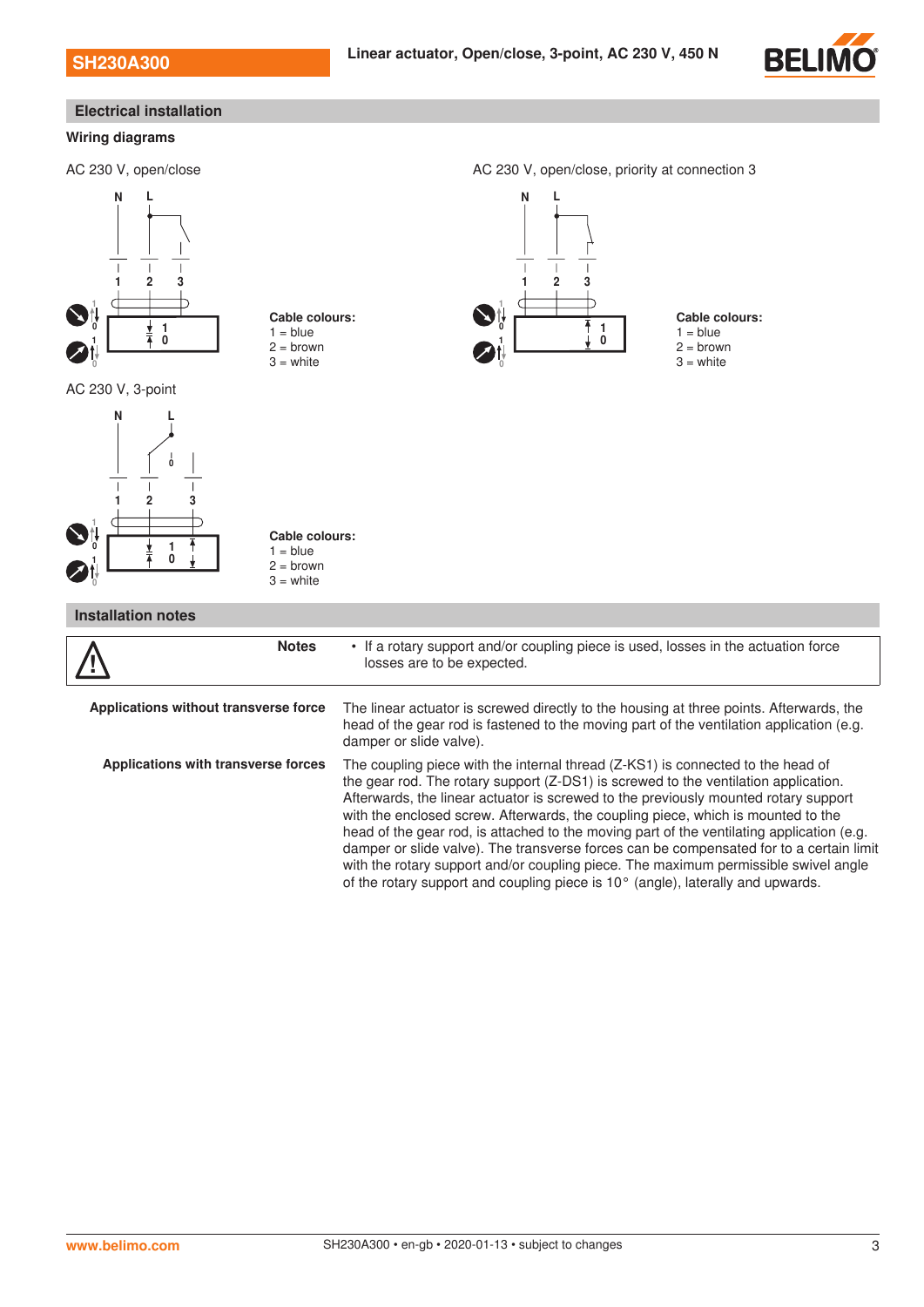

#### **Wiring diagrams** AC 230 V, open/close AC 230 V, open/close, priority at connection 3 1 2 3  $\ddot{\mathbf{0}}$  $\overline{0}$   $\overline{1}$   $\overline{1}$   $\overline{1}$ 1 0 1 N L **Cable colours:**  $1 = blue$  $2 =$ brown  $3 =$  white 1 2 3  $\theta$  $\begin{array}{ccc} 0 & 1 & \end{array}$ 1 1 N L **Cable colours:**  $1 = blue$  $2 =$ brown  $3 =$  white AC 230 V, 3-point 0 1 1 2 3 0 0 1 1  $\overline{M}$ **Cable colours:**  $1 =$  blue  $2 =$  brown  $3 =$  white **Installation notes** !<br>! **Notes** • If a rotary support and/or coupling piece is used, losses in the actuation force losses are to be expected. **Applications without transverse force** The linear actuator is screwed directly to the housing at three points. Afterwards, the head of the gear rod is fastened to the moving part of the ventilation application (e.g. damper or slide valve). **Applications with transverse forces** The coupling piece with the internal thread (Z-KS1) is connected to the head of the gear rod. The rotary support (Z-DS1) is screwed to the ventilation application. Afterwards, the linear actuator is screwed to the previously mounted rotary support with the enclosed screw. Afterwards, the coupling piece, which is mounted to the head of the gear rod, is attached to the moving part of the ventilating application (e.g. damper or slide valve). The transverse forces can be compensated for to a certain limit with the rotary support and/or coupling piece. The maximum permissible swivel angle of the rotary support and coupling piece is 10° (angle), laterally and upwards. **Electrical installation**